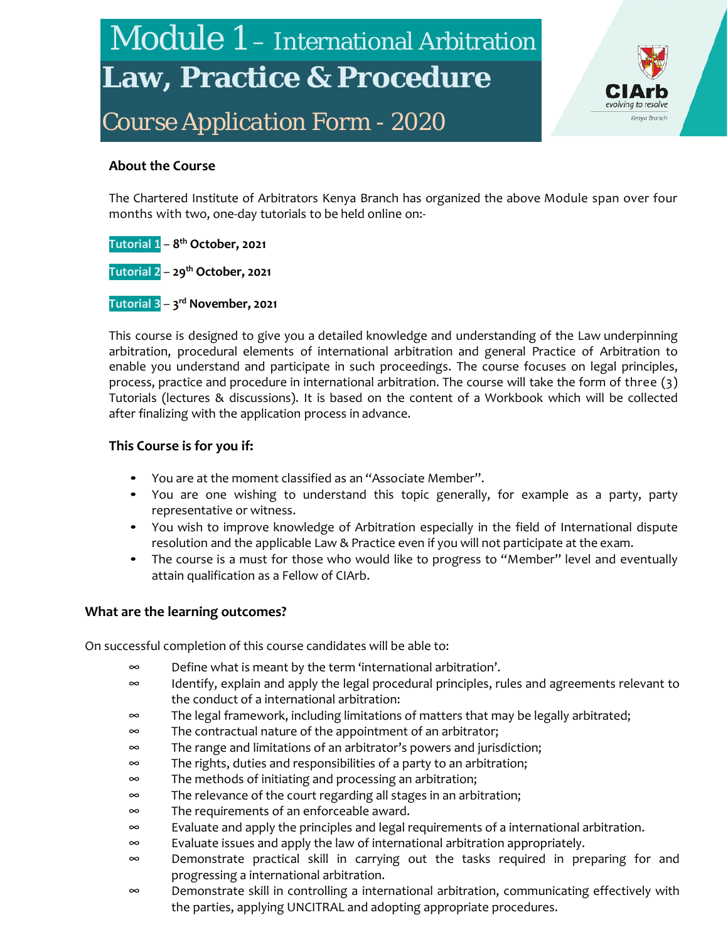# Module 1 – International Arbitration **Law, Practice & Procedure**

*Course Application Form - 2020*



#### **About the Course**

The Chartered Institute of Arbitrators Kenya Branch has organized the above Module span over four months with two, one-day tutorials to be held online on:-

**Tutorial 1** – **8th October, 2021 Tutorial 2** – **29th October, 2021 Tutorial 3** – **3rd November, 2021**

This course is designed to give you a detailed knowledge and understanding of the Law underpinning arbitration, procedural elements of international arbitration and general Practice of Arbitration to enable you understand and participate in such proceedings. The course focuses on legal principles, process, practice and procedure in international arbitration. The course will take the form of three (3) Tutorials (lectures & discussions). It is based on the content of a Workbook which will be collected after finalizing with the application process in advance.

#### **This Course is for you if:**

- You are at the moment classified as an "Associate Member".
- You are one wishing to understand this topic generally, for example as a party, party representative or witness.
- You wish to improve knowledge of Arbitration especially in the field of International dispute resolution and the applicable Law & Practice even if you will not participate at the exam.
- The course is a must for those who would like to progress to "Member" level and eventually attain qualification as a Fellow of CIArb.

#### **What are the learning outcomes?**

On successful completion of this course candidates will be able to:

- ∞ Define what is meant by the term 'international arbitration'.
- ∞ Identify, explain and apply the legal procedural principles, rules and agreements relevant to the conduct of a international arbitration:
- ∞ The legal framework, including limitations of matters that may be legally arbitrated;
- ∞ The contractual nature of the appointment of an arbitrator;
- ∞ The range and limitations of an arbitrator's powers and jurisdiction;
- ∞ The rights, duties and responsibilities of a party to an arbitration;
- ∞ The methods of initiating and processing an arbitration;
- ∞ The relevance of the court regarding all stages in an arbitration;
- ∞ The requirements of an enforceable award.
- ∞ Evaluate and apply the principles and legal requirements of a international arbitration.
- ∞ Evaluate issues and apply the law of international arbitration appropriately.
- ∞ Demonstrate practical skill in carrying out the tasks required in preparing for and progressing a international arbitration.
- ∞ Demonstrate skill in controlling a international arbitration, communicating effectively with the parties, applying UNCITRAL and adopting appropriate procedures.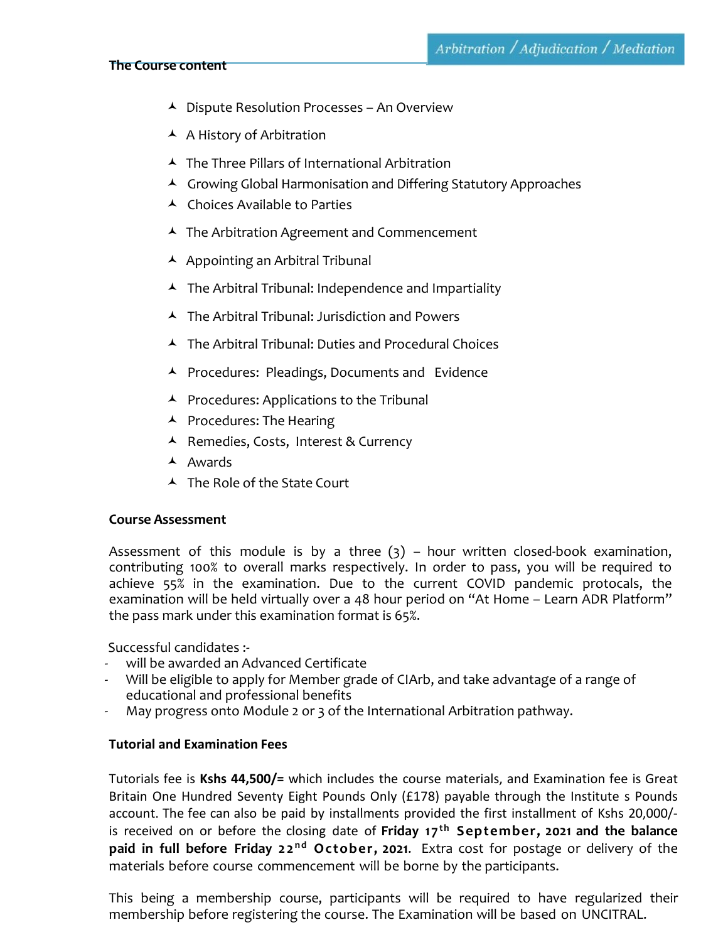#### **The Course content**

- $\blacktriangle$  Dispute Resolution Processes An Overview
- $\blacktriangle$  A History of Arbitration
- $\blacktriangle$  The Three Pillars of International Arbitration
- ▲ Growing Global Harmonisation and Differing Statutory Approaches
- $\blacktriangle$  Choices Available to Parties
- $\blacktriangle$  The Arbitration Agreement and Commencement
- $\blacktriangle$  Appointing an Arbitral Tribunal
- $\blacktriangle$  The Arbitral Tribunal: Independence and Impartiality
- The Arbitral Tribunal: Jurisdiction and Powers
- The Arbitral Tribunal: Duties and Procedural Choices
- ▲ Procedures: Pleadings, Documents and Evidence
- $\blacktriangle$  Procedures: Applications to the Tribunal
- $\blacktriangle$  Procedures: The Hearing
- ▲ Remedies, Costs, Interest & Currency
- $\blacktriangle$  Awards
- $\blacktriangle$  The Role of the State Court

#### **Course Assessment**

Assessment of this module is by a three  $(3)$  – hour written closed-book examination, contributing 100% to overall marks respectively. In order to pass, you will be required to achieve 55% in the examination. Due to the current COVID pandemic protocals, the examination will be held virtually over a 48 hour period on "At Home – Learn ADR Platform" the pass mark under this examination format is 65%.

Successful candidates :-

- will be awarded an Advanced Certificate
- Will be eligible to apply for Member grade of CIArb, and take advantage of a range of educational and professional benefits
- May progress onto Module 2 or 3 of the International Arbitration pathway.

#### **Tutorial and Examination Fees**

Tutorials fee is **Kshs 44,500/=** which includes the course materials, and Examination fee is Great Britain One Hundred Seventy Eight Pounds Only (£178) payable through the Institute s Pounds account. The fee can also be paid by installments provided the first installment of Kshs 20,000/ is received on or before the closing date of Friday 17<sup>th</sup> September, 2021 and the balance **paid in full before Friday 22<sup>nd</sup> October, 2021.** Extra cost for postage or delivery of the materials before course commencement will be borne by the participants.

This being a membership course, participants will be required to have regularized their membership before registering the course. The Examination will be based on UNCITRAL.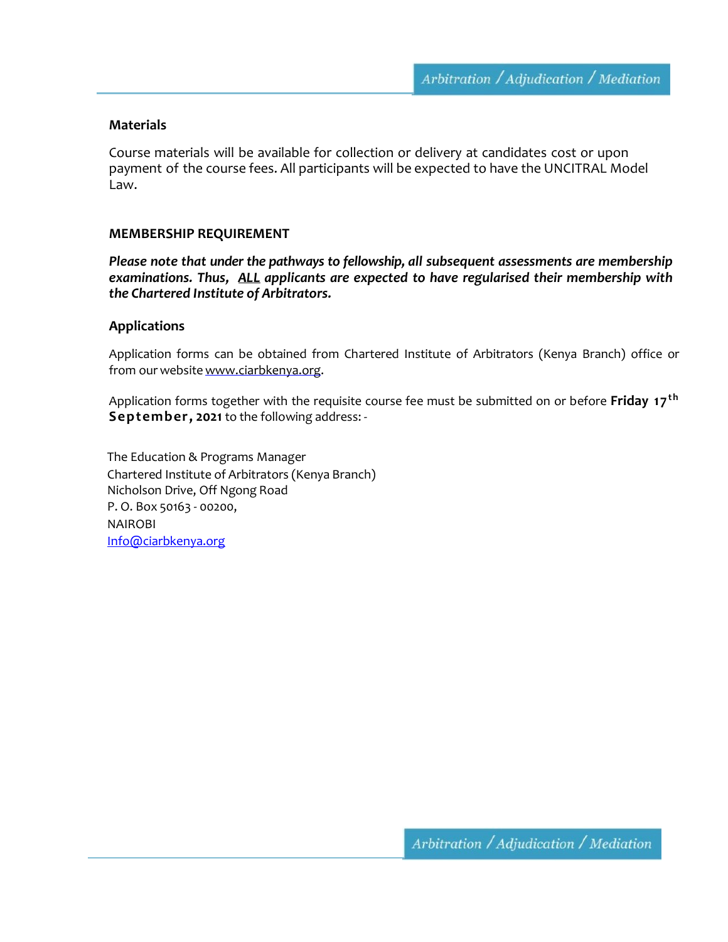#### **Materials**

Course materials will be available for collection or delivery at candidates cost or upon payment of the course fees. All participants will be expected to have the UNCITRAL Model Law.

#### **MEMBERSHIP REQUIREMENT**

*Please note that under the pathways to fellowship, all subsequent assessments are membership examinations. Thus, ALL applicants are expected to have regularised their membership with the Chartered Institute of Arbitrators.*

#### **Applications**

Application forms can be obtained from Chartered Institute of Arbitrators (Kenya Branch) office or from our website www.ciarbkenya.org.

Application forms together with the requisite course fee must be submitted on or before **Friday 17<sup>th</sup> September, 2021** to the following address: -

The Education & Programs Manager Chartered Institute of Arbitrators (Kenya Branch) Nicholson Drive, Off Ngong Road P. O. Box 50163 - 00200, NAIROBI [Info@ciarbkenya.org](mailto:Info@ciarbkenya.org)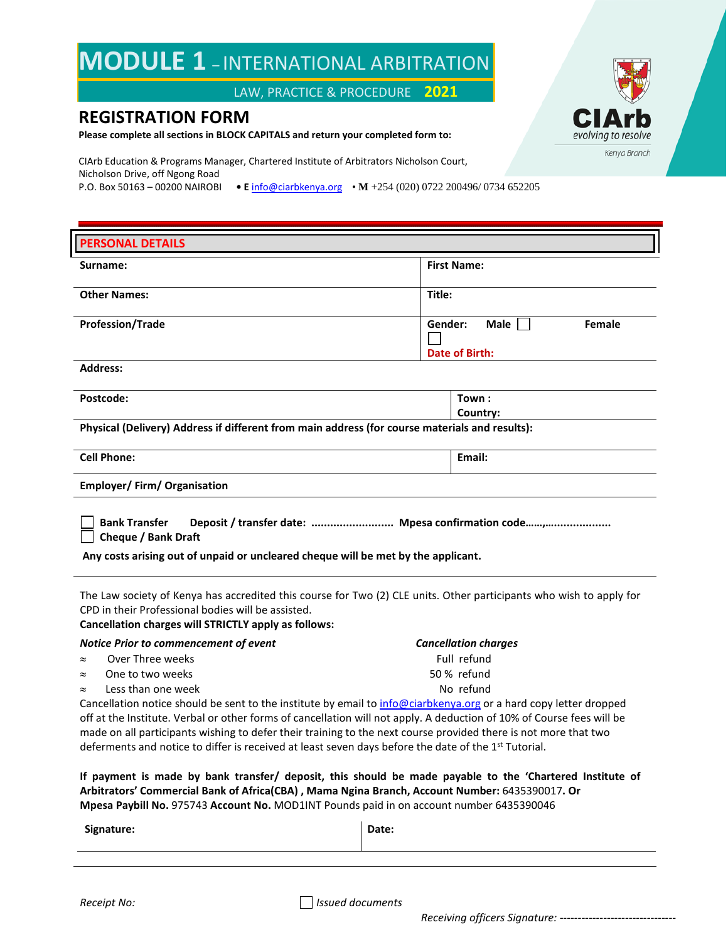## **MODULE 1** – INTERNATIONAL ARBITRATION

LAW, PRACTICE & PROCEDURE **2021**

### **REGISTRATION FORM**

**Please complete all sections in BLOCK CAPITALS and return your completed form to:**

CIArb Education & Programs Manager, Chartered Institute of Arbitrators Nicholson Court, Nicholson Drive, off Ngong Road P.O. Box 50163 – 00200 NAIROBI **• E** [info@ciarbkenya.org](mailto:info@ciarbkenya.org) • **M** +254 (020) 0722 200496/ 0734 652205

| <b>PERSONAL DETAILS</b>                                                                                                                                                   |                                            |  |  |
|---------------------------------------------------------------------------------------------------------------------------------------------------------------------------|--------------------------------------------|--|--|
| Surname:                                                                                                                                                                  | <b>First Name:</b>                         |  |  |
| <b>Other Names:</b>                                                                                                                                                       | Title:                                     |  |  |
|                                                                                                                                                                           |                                            |  |  |
| <b>Profession/Trade</b>                                                                                                                                                   | Gender:<br>Male<br><b>Female</b>           |  |  |
|                                                                                                                                                                           | Date of Birth:                             |  |  |
| <b>Address:</b>                                                                                                                                                           |                                            |  |  |
|                                                                                                                                                                           |                                            |  |  |
| Postcode:                                                                                                                                                                 | Town:                                      |  |  |
| Physical (Delivery) Address if different from main address (for course materials and results):                                                                            | Country:                                   |  |  |
|                                                                                                                                                                           |                                            |  |  |
| <b>Cell Phone:</b>                                                                                                                                                        | Email:                                     |  |  |
| <b>Employer/Firm/Organisation</b>                                                                                                                                         |                                            |  |  |
|                                                                                                                                                                           |                                            |  |  |
| <b>Bank Transfer</b><br>Deposit / transfer date:  Mpesa confirmation code,                                                                                                |                                            |  |  |
| <b>Cheque / Bank Draft</b>                                                                                                                                                |                                            |  |  |
| Any costs arising out of unpaid or uncleared cheque will be met by the applicant.                                                                                         |                                            |  |  |
|                                                                                                                                                                           |                                            |  |  |
| The Law society of Kenya has accredited this course for Two (2) CLE units. Other participants who wish to apply for<br>CPD in their Professional bodies will be assisted. |                                            |  |  |
| Cancellation charges will STRICTLY apply as follows:                                                                                                                      |                                            |  |  |
| Notice Prior to commencement of event                                                                                                                                     |                                            |  |  |
|                                                                                                                                                                           |                                            |  |  |
| Over Three weeks<br>$\approx$                                                                                                                                             | <b>Cancellation charges</b><br>Full refund |  |  |
| One to two weeks<br>$\approx$                                                                                                                                             | 50 % refund                                |  |  |
| Less than one week<br>$\approx$                                                                                                                                           | No refund                                  |  |  |
| Cancellation notice should be sent to the institute by email to info@ciarbkenya.org or a hard copy letter dropped                                                         |                                            |  |  |
| off at the Institute. Verbal or other forms of cancellation will not apply. A deduction of 10% of Course fees will be                                                     |                                            |  |  |
| made on all participants wishing to defer their training to the next course provided there is not more that two                                                           |                                            |  |  |
| deferments and notice to differ is received at least seven days before the date of the 1 <sup>st</sup> Tutorial.                                                          |                                            |  |  |
| If payment is made by bank transfer/ deposit, this should be made payable to the 'Chartered Institute of                                                                  |                                            |  |  |
| Arbitrators' Commercial Bank of Africa(CBA), Mama Ngina Branch, Account Number: 6435390017. Or                                                                            |                                            |  |  |
| Mpesa Paybill No. 975743 Account No. MOD1INT Pounds paid in on account number 6435390046                                                                                  |                                            |  |  |
| Signature:                                                                                                                                                                | Date:                                      |  |  |
|                                                                                                                                                                           |                                            |  |  |



*Receipt No: Issued documents*